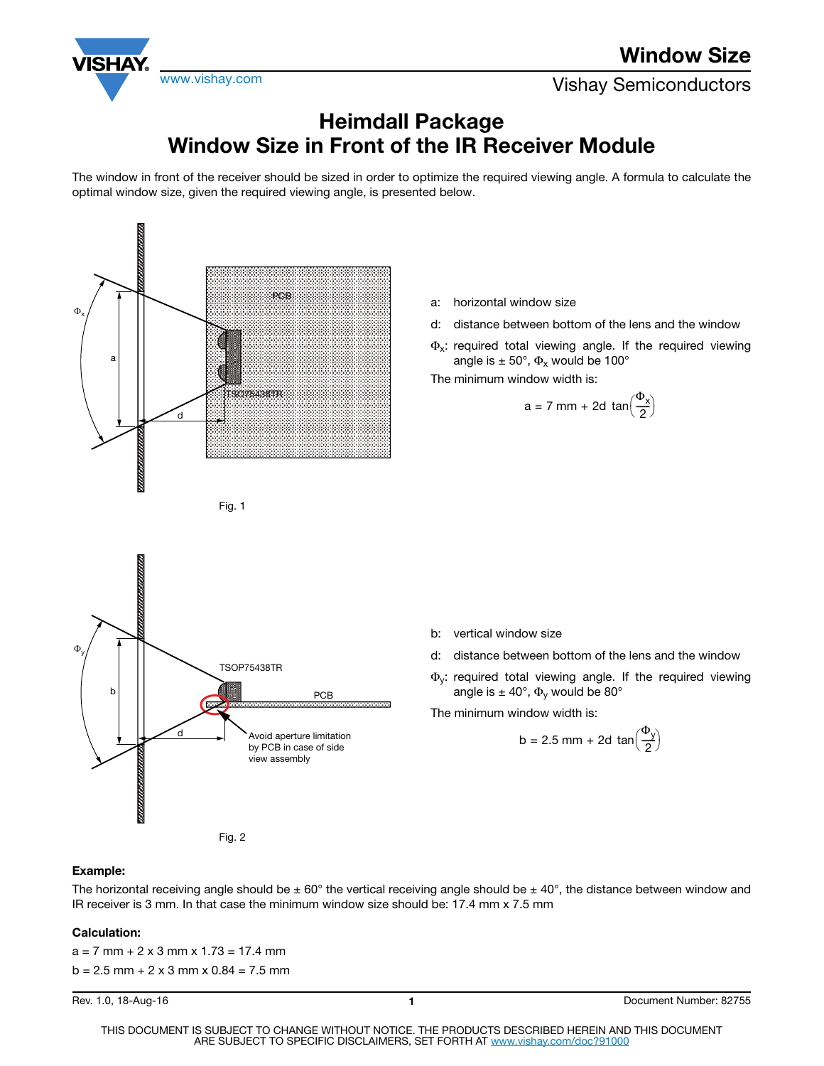

www.vishay.com **Vishay Semiconductors** 

## **Heimdall Package Window Size in Front of the IR Receiver Module**

The window in front of the receiver should be sized in order to optimize the required viewing angle. A formula to calculate the optimal window size, given the required viewing angle, is presented below.



- a: horizontal window size
- d: distance between bottom of the lens and the window
- $\Phi_{x}$ : required total viewing angle. If the required viewing angle is  $\pm 50^{\circ}$ ,  $\Phi_{\rm x}$  would be 100°

The minimum window width is:

$$
a = 7 \text{ mm} + 2d \tan\left(\frac{\Phi_x}{2}\right)
$$



- d: distance between bottom of the lens and the window
- Φy: required total viewing angle. If the required viewing angle is  $\pm 40^{\circ}$ ,  $\Phi_{v}$  would be 80°

The minimum window width is:

$$
\frac{d}{d} \qquad \qquad \text{Avoid aperture limitation} \qquad \qquad b = 2.5 \text{ mm} + 2d \tan(\frac{\Phi_y}{2})
$$

## **Example:**

b

mm

The horizontal receiving angle should be  $\pm 60^\circ$  the vertical receiving angle should be  $\pm 40^\circ$ , the distance between window and IR receiver is 3 mm. In that case the minimum window size should be: 17.4 mm x 7.5 mm

## **Calculation:**

 $a = 7$  mm + 2 x 3 mm x 1.73 = 17.4 mm  $b = 2.5$  mm + 2 x 3 mm x 0.84 = 7.5 mm

Fig. 2

TSOP75438TR

PCB

by PCB in case of side view assembly